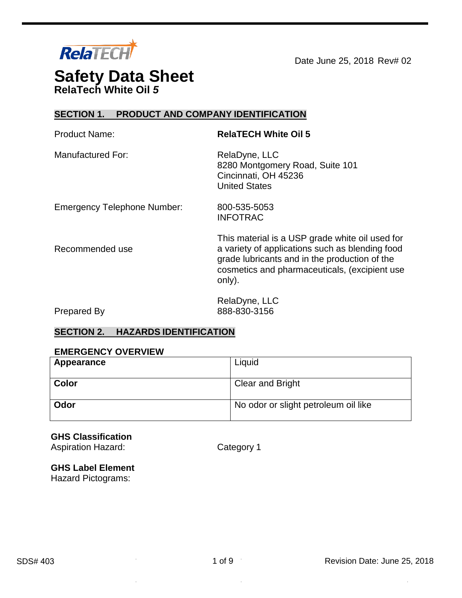

Date June 25, 2018 Rev# 02

# **Safety Data Sheet RelaTech White Oil** *5*

## **SECTION 1. PRODUCT AND COMPANY IDENTIFICATION**

| <b>Product Name:</b>               | <b>RelaTECH White Oil 5</b>                                                                                                                                                                                    |
|------------------------------------|----------------------------------------------------------------------------------------------------------------------------------------------------------------------------------------------------------------|
| <b>Manufactured For:</b>           | RelaDyne, LLC<br>8280 Montgomery Road, Suite 101<br>Cincinnati, OH 45236<br><b>United States</b>                                                                                                               |
| <b>Emergency Telephone Number:</b> | 800-535-5053<br><b>INFOTRAC</b>                                                                                                                                                                                |
| Recommended use                    | This material is a USP grade white oil used for<br>a variety of applications such as blending food<br>grade lubricants and in the production of the<br>cosmetics and pharmaceuticals, (excipient use<br>only). |
|                                    | RelaDyne, LLC                                                                                                                                                                                                  |

Prepared By

888-830-3156

## **SECTION 2. HAZARDS IDENTIFICATION**

#### **EMERGENCY OVERVIEW**

| Appearance   | Liquid                               |
|--------------|--------------------------------------|
| <b>Color</b> | Clear and Bright                     |
| Odor         | No odor or slight petroleum oil like |

## **GHS Classification**

Aspiration Hazard: Category 1

#### **GHS Label Element**

Hazard Pictograms:

i,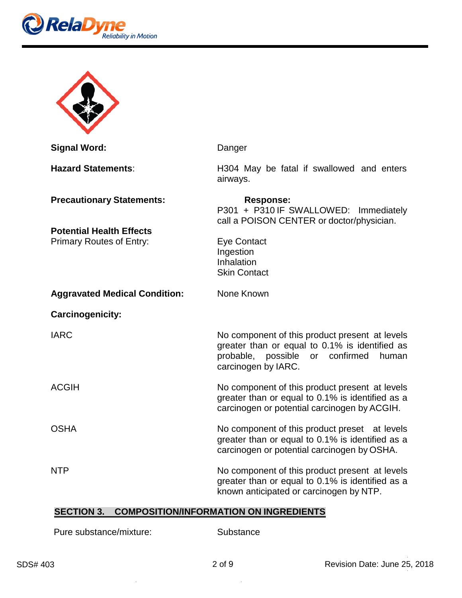



| <b>Signal Word:</b>                                                                                    | Danger                                                                                                                                                                         |
|--------------------------------------------------------------------------------------------------------|--------------------------------------------------------------------------------------------------------------------------------------------------------------------------------|
| <b>Hazard Statements:</b>                                                                              | H304 May be fatal if swallowed and enters<br>airways.                                                                                                                          |
| <b>Precautionary Statements:</b><br><b>Potential Health Effects</b><br><b>Primary Routes of Entry:</b> | <b>Response:</b><br>P301 + P310 IF SWALLOWED: Immediately<br>call a POISON CENTER or doctor/physician.<br><b>Eye Contact</b><br>Ingestion<br>Inhalation<br><b>Skin Contact</b> |
| <b>Aggravated Medical Condition:</b>                                                                   | None Known                                                                                                                                                                     |
| <b>Carcinogenicity:</b>                                                                                |                                                                                                                                                                                |
| <b>IARC</b>                                                                                            | No component of this product present at levels<br>greater than or equal to 0.1% is identified as<br>probable,<br>possible<br>or confirmed<br>human<br>carcinogen by IARC.      |
| <b>ACGIH</b>                                                                                           | No component of this product present at levels<br>greater than or equal to 0.1% is identified as a<br>carcinogen or potential carcinogen by ACGIH.                             |
| <b>OSHA</b>                                                                                            | No component of this product preset at levels<br>greater than or equal to 0.1% is identified as a<br>carcinogen or potential carcinogen by OSHA.                               |
| <b>NTP</b>                                                                                             | No component of this product present at levels<br>greater than or equal to 0.1% is identified as a<br>known anticipated or carcinogen by NTP.                                  |

## **SECTION 3. COMPOSITION/INFORMATION ON INGREDIENTS**

Pure substance/mixture:

**Substance** 

 $\sim$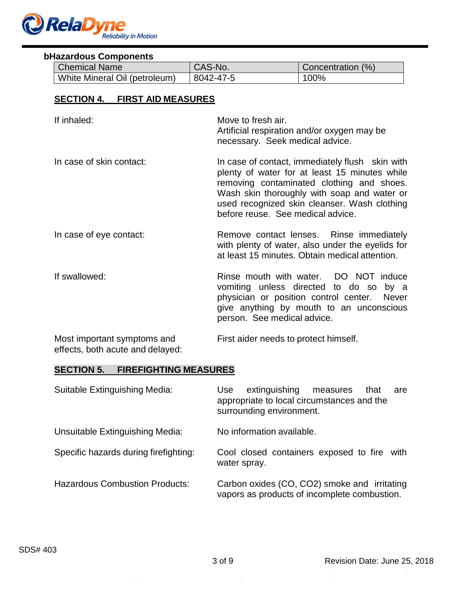

#### **bHazardous Components**

| <b>Chemical Name</b>          | CAS-No.   | Concentration (%) |
|-------------------------------|-----------|-------------------|
| White Mineral Oil (petroleum) | 8042-47-5 | 100%              |

## **SECTION 4. FIRST AID MEASURES**

| If inhaled:                 | Move to fresh air.<br>Artificial respiration and/or oxygen may be<br>necessary. Seek medical advice.                                                                                                                                                                              |
|-----------------------------|-----------------------------------------------------------------------------------------------------------------------------------------------------------------------------------------------------------------------------------------------------------------------------------|
| In case of skin contact:    | In case of contact, immediately flush skin with<br>plenty of water for at least 15 minutes while<br>removing contaminated clothing and shoes.<br>Wash skin thoroughly with soap and water or<br>used recognized skin cleanser. Wash clothing<br>before reuse. See medical advice. |
| In case of eye contact:     | Remove contact lenses. Rinse immediately<br>with plenty of water, also under the eyelids for<br>at least 15 minutes. Obtain medical attention.                                                                                                                                    |
| If swallowed:               | Rinse mouth with water. DO NOT induce<br>vomiting unless directed to do so<br>by a<br>physician or position control center. Never<br>give anything by mouth to an unconscious<br>person. See medical advice.                                                                      |
| Most important symptoms and | First aider needs to protect himself.                                                                                                                                                                                                                                             |

## effects, both acute and delayed:

## **SECTION 5. FIREFIGHTING MEASURES**

| Suitable Extinguishing Media:         | extinguishing measures<br>Use<br>that<br>are<br>appropriate to local circumstances and the<br>surrounding environment. |
|---------------------------------------|------------------------------------------------------------------------------------------------------------------------|
| Unsuitable Extinguishing Media:       | No information available.                                                                                              |
| Specific hazards during firefighting: | Cool closed containers exposed to fire<br>with<br>water spray.                                                         |
| <b>Hazardous Combustion Products:</b> | Carbon oxides (CO, CO2) smoke and irritating<br>vapors as products of incomplete combustion.                           |

 $\bar{\mathcal{A}}$ 

J.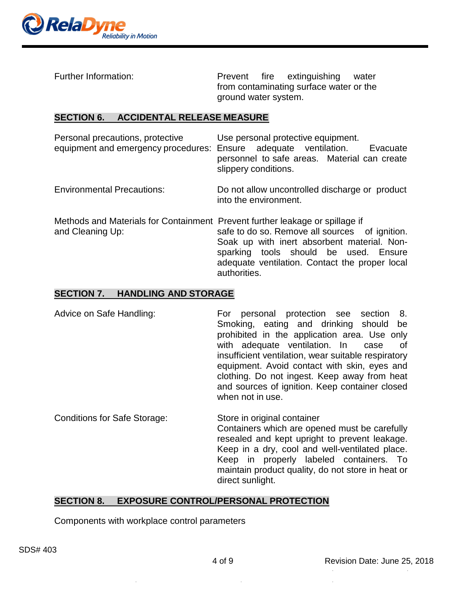

Further Information: The Prevent fire extinguishing water from contaminating surface water or the ground water system.

#### **SECTION 6. ACCIDENTAL RELEASE MEASURE**

| Personal precautions, protective<br>equipment and emergency procedures: Ensure adequate ventilation. | Use personal protective equipment.<br>Evacuate<br>personnel to safe areas. Material can create<br>slippery conditions.                                                                                   |
|------------------------------------------------------------------------------------------------------|----------------------------------------------------------------------------------------------------------------------------------------------------------------------------------------------------------|
| <b>Environmental Precautions:</b>                                                                    | Do not allow uncontrolled discharge or product<br>into the environment.                                                                                                                                  |
| Methods and Materials for Containment Prevent further leakage or spillage if<br>and Cleaning Up:     | safe to do so. Remove all sources of ignition.<br>Soak up with inert absorbent material. Non-<br>sparking tools should be used. Ensure<br>adequate ventilation. Contact the proper local<br>authorities. |

#### **SECTION 7. HANDLING AND STORAGE**

- Advice on Safe Handling: For personal protection see section 8. Smoking, eating and drinking should be prohibited in the application area. Use only with adequate ventilation. In case of insufficient ventilation, wear suitable respiratory equipment. Avoid contact with skin, eyes and clothing. Do not ingest. Keep away from heat and sources of ignition. Keep container closed when not in use.
- Conditions for Safe Storage: Store in original container Containers which are opened must be carefully resealed and kept upright to prevent leakage. Keep in a dry, cool and well-ventilated place. Keep in properly labeled containers. To maintain product quality, do not store in heat or direct sunlight.

## **SECTION 8. EXPOSURE CONTROL/PERSONAL PROTECTION**

Components with workplace control parameters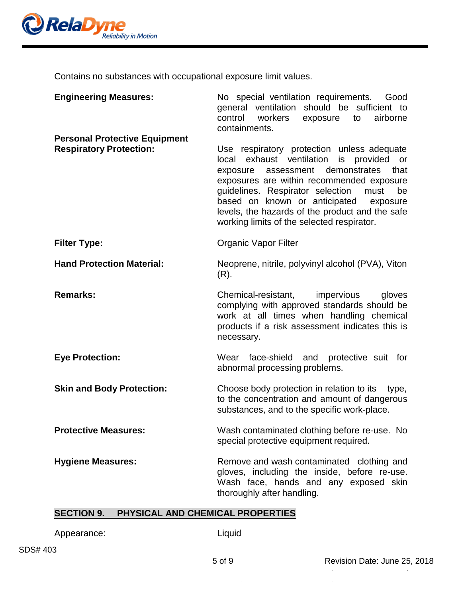

Contains no substances with occupational exposure limit values.

| <b>Engineering Measures:</b>                                           | No special ventilation requirements.<br>Good<br>general ventilation should be sufficient to<br>control workers<br>exposure<br>to<br>airborne<br>containments.                                                                                                                                                                                                                            |
|------------------------------------------------------------------------|------------------------------------------------------------------------------------------------------------------------------------------------------------------------------------------------------------------------------------------------------------------------------------------------------------------------------------------------------------------------------------------|
| <b>Personal Protective Equipment</b><br><b>Respiratory Protection:</b> | Use respiratory protection unless adequate<br>local exhaust ventilation<br>is provided<br>or<br>that<br>assessment demonstrates<br>exposure<br>exposures are within recommended exposure<br>guidelines. Respirator selection<br>be<br>must<br>based on known or anticipated<br>exposure<br>levels, the hazards of the product and the safe<br>working limits of the selected respirator. |
| <b>Filter Type:</b>                                                    | <b>Organic Vapor Filter</b>                                                                                                                                                                                                                                                                                                                                                              |
| <b>Hand Protection Material:</b>                                       | Neoprene, nitrile, polyvinyl alcohol (PVA), Viton<br>$(R)$ .                                                                                                                                                                                                                                                                                                                             |
| <b>Remarks:</b>                                                        | Chemical-resistant, impervious<br>gloves<br>complying with approved standards should be<br>work at all times when handling chemical<br>products if a risk assessment indicates this is<br>necessary.                                                                                                                                                                                     |
| <b>Eye Protection:</b>                                                 | face-shield and protective suit for<br>Wear<br>abnormal processing problems.                                                                                                                                                                                                                                                                                                             |
| <b>Skin and Body Protection:</b>                                       | Choose body protection in relation to its<br>type,<br>to the concentration and amount of dangerous<br>substances, and to the specific work-place.                                                                                                                                                                                                                                        |
| <b>Protective Measures:</b>                                            | Wash contaminated clothing before re-use. No<br>special protective equipment required.                                                                                                                                                                                                                                                                                                   |
| <b>Hygiene Measures:</b>                                               | Remove and wash contaminated clothing and<br>gloves, including the inside, before re-use.<br>Wash face, hands and any exposed skin<br>thoroughly after handling.                                                                                                                                                                                                                         |

## **SECTION 9. PHYSICAL AND CHEMICAL PROPERTIES**

Appearance: Liquid

 $\hat{\boldsymbol{\gamma}}$ 

 $\bar{z}$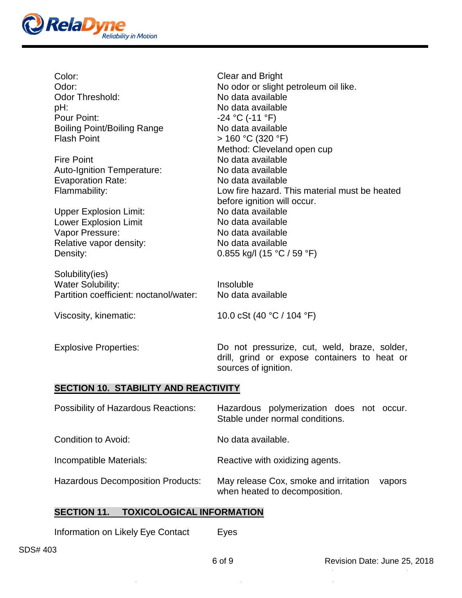

| Color:<br>Odor:<br><b>Odor Threshold:</b><br>pH:<br>Pour Point:<br><b>Boiling Point/Boiling Range</b><br><b>Flash Point</b><br><b>Fire Point</b><br>Auto-Ignition Temperature:<br><b>Evaporation Rate:</b><br>Flammability:<br><b>Upper Explosion Limit:</b><br><b>Lower Explosion Limit</b><br>Vapor Pressure:<br>Relative vapor density:<br>Density: | <b>Clear and Bright</b><br>No odor or slight petroleum oil like.<br>No data available<br>No data available<br>$-24$ °C (-11 °F)<br>No data available<br>> 160 °C (320 °F)<br>Method: Cleveland open cup<br>No data available<br>No data available<br>No data available<br>Low fire hazard. This material must be heated<br>before ignition will occur.<br>No data available<br>No data available<br>No data available<br>No data available<br>0.855 kg/l (15 °C / 59 °F) |
|--------------------------------------------------------------------------------------------------------------------------------------------------------------------------------------------------------------------------------------------------------------------------------------------------------------------------------------------------------|--------------------------------------------------------------------------------------------------------------------------------------------------------------------------------------------------------------------------------------------------------------------------------------------------------------------------------------------------------------------------------------------------------------------------------------------------------------------------|
| Solubility(ies)<br><b>Water Solubility:</b><br>Partition coefficient: noctanol/water:                                                                                                                                                                                                                                                                  | Insoluble<br>No data available                                                                                                                                                                                                                                                                                                                                                                                                                                           |
| Viscosity, kinematic:                                                                                                                                                                                                                                                                                                                                  | 10.0 cSt (40 $^{\circ}$ C / 104 $^{\circ}$ F)                                                                                                                                                                                                                                                                                                                                                                                                                            |
| <b>Explosive Properties:</b>                                                                                                                                                                                                                                                                                                                           | Do not pressurize, cut, weld, braze, solder,                                                                                                                                                                                                                                                                                                                                                                                                                             |

# **SECTION 10. STABILITY AND REACTIVITY**

| <b>Possibility of Hazardous Reactions:</b> | Hazardous polymerization does not occur.<br>Stable under normal conditions.      |
|--------------------------------------------|----------------------------------------------------------------------------------|
| Condition to Avoid:                        | No data available.                                                               |
| Incompatible Materials:                    | Reactive with oxidizing agents.                                                  |
| <b>Hazardous Decomposition Products:</b>   | May release Cox, smoke and irritation<br>vapors<br>when heated to decomposition. |

sources of ignition.

drill, grind or expose containers to heat or

# **SECTION 11. TOXICOLOGICAL INFORMATION**

| Information on Likely Eye Contact | Eyes |
|-----------------------------------|------|
|-----------------------------------|------|

 $\mathcal{A}$ 

 $\sim$  $\bar{\alpha}$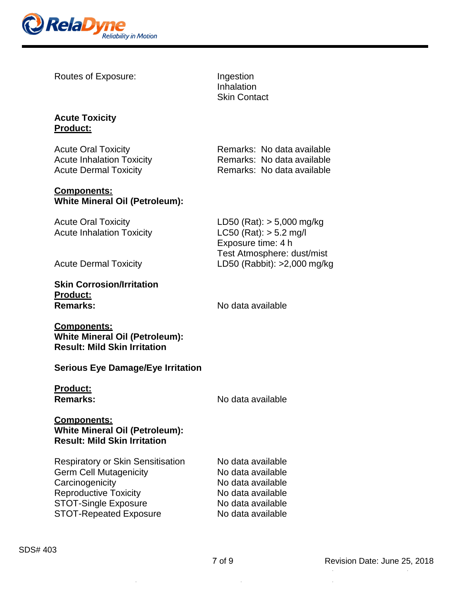

Routes of Exposure: Ingestion

Inhalation Skin Contact

#### **Acute Toxicity Product:**

Acute Oral Toxicity<br>
Acute Inhalation Toxicity<br>
Remarks: No data available<br>
Remarks: No data available Acute Inhalation Toxicity

#### **Components: White Mineral Oil (Petroleum):**

Acute Inhalation Toxicity

# **Skin Corrosion/Irritation Product:**

Acute Dermal Toxicity **Remarks:** No data available

Acute Oral Toxicity<br>
Acute Inhalation Toxicity<br>
LC50 (Rat): > 5.2 mg/l Exposure time: 4 h Test Atmosphere: dust/mist Acute Dermal Toxicity LD50 (Rabbit): >2,000 mg/kg

**Remarks:** No data available

## **Components: White Mineral Oil (Petroleum): Result: Mild Skin Irritation**

## **Serious Eye Damage/Eye Irritation**

**Product:**

**Remarks:** No data available

## **Components: White Mineral Oil (Petroleum): Result: Mild Skin Irritation**

| <b>Respiratory or Skin Sensitisation</b> | No data available |
|------------------------------------------|-------------------|
| <b>Germ Cell Mutagenicity</b>            | No data available |
| Carcinogenicity                          | No data available |
| <b>Reproductive Toxicity</b>             | No data available |
| <b>STOT-Single Exposure</b>              | No data available |
| <b>STOT-Repeated Exposure</b>            | No data available |
|                                          |                   |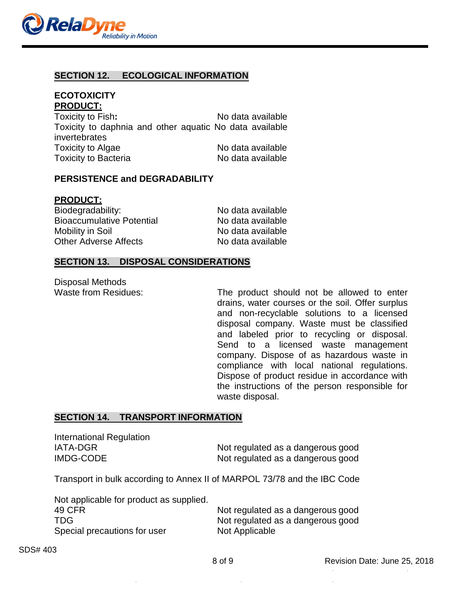

#### **SECTION 12. ECOLOGICAL INFORMATION**

## **ECOTOXICITY PRODUCT:**

| Toxicity to Fish:           | No data available                                       |
|-----------------------------|---------------------------------------------------------|
|                             | Toxicity to daphnia and other aquatic No data available |
| invertebrates               |                                                         |
| Toxicity to Algae           | No data available                                       |
| <b>Toxicity to Bacteria</b> | No data available                                       |

#### **PERSISTENCE and DEGRADABILITY**

#### **PRODUCT:**

| Biodegradability:                | No data available |  |
|----------------------------------|-------------------|--|
| <b>Bioaccumulative Potential</b> | No data available |  |
| Mobility in Soil                 | No data available |  |
| <b>Other Adverse Affects</b>     | No data available |  |

#### **SECTION 13. DISPOSAL CONSIDERATIONS**

Disposal Methods<br>Waste from Residues:

The product should not be allowed to enter drains, water courses or the soil. Offer surplus and non-recyclable solutions to a licensed disposal company. Waste must be classified and labeled prior to recycling or disposal. Send to a licensed waste management company. Dispose of as hazardous waste in compliance with local national regulations. Dispose of product residue in accordance with the instructions of the person responsible for waste disposal.

#### **SECTION 14. TRANSPORT INFORMATION**

International Regulation

IATA-DGR Not regulated as a dangerous good IMDG-CODE Not regulated as a dangerous good

Transport in bulk according to Annex II of MARPOL 73/78 and the IBC Code

| Not applicable for product as supplied. |  |
|-----------------------------------------|--|
| 49 CFR                                  |  |
| TDG.                                    |  |
| Special precautions for user            |  |

Not regulated as a dangerous good Not regulated as a dangerous good Not Applicable